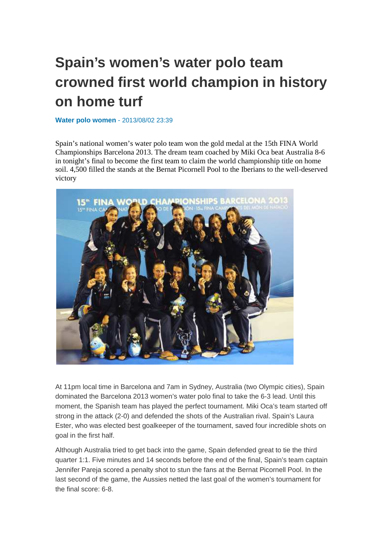## **Spain's women's water polo team crowned first world champion in history on home turf**

**Water polo women** - 2013/08/02 23:39

Spain's national women's water polo team won the gold medal at the 15th FINA World Championships Barcelona 2013. The dream team coached by Miki Oca beat Australia 8-6 in tonight's final to become the first team to claim the world championship title on home soil. 4,500 filled the stands at the Bernat Picornell Pool to the Iberians to the well-deserved victory



At 11pm local time in Barcelona and 7am in Sydney, Australia (two Olympic cities), Spain dominated the Barcelona 2013 women's water polo final to take the 6-3 lead. Until this moment, the Spanish team has played the perfect tournament. Miki Oca's team started off strong in the attack (2-0) and defended the shots of the Australian rival. Spain's Laura Ester, who was elected best goalkeeper of the tournament, saved four incredible shots on goal in the first half.

Although Australia tried to get back into the game, Spain defended great to tie the third quarter 1:1. Five minutes and 14 seconds before the end of the final, Spain's team captain Jennifer Pareja scored a penalty shot to stun the fans at the Bernat Picornell Pool. In the last second of the game, the Aussies netted the last goal of the women's tournament for the final score: 6-8.